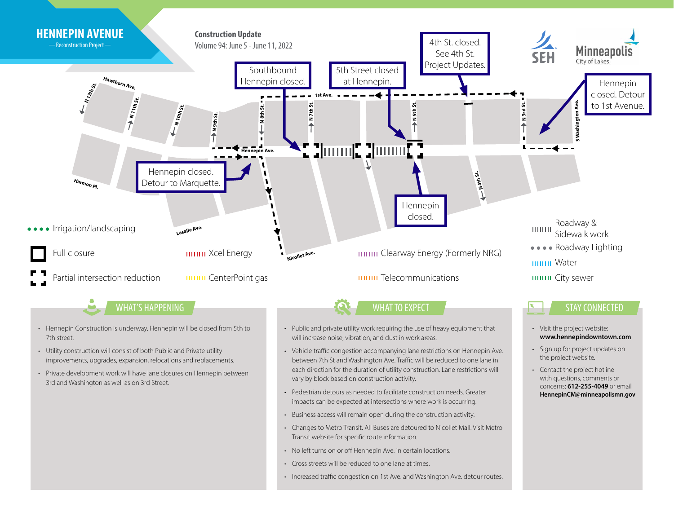

- No left turns on or off Hennepin Ave. in certain locations.
- Cross streets will be reduced to one lane at times.
- Increased traffic congestion on 1st Ave. and Washington Ave. detour routes.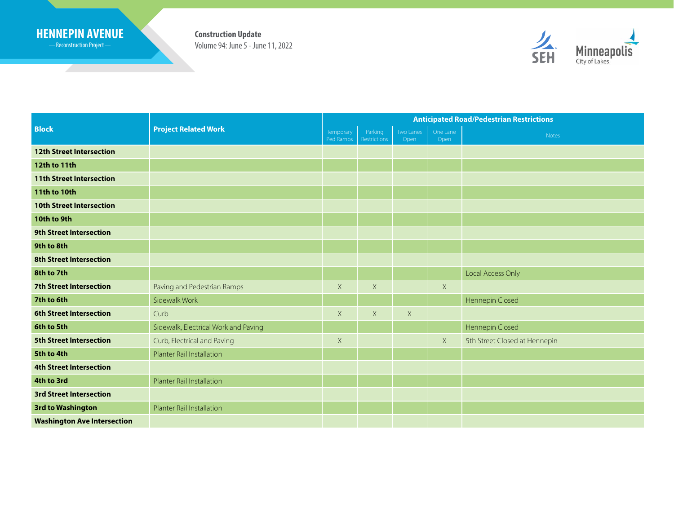## **HENNEPIN AVENUE Construction Update**

Reconstruction Project

<u> Samuel Barbara (</u>

Volume 94: June 5 - June 11, 2022



| <b>Block</b>                       | <b>Project Related Work</b>          | <b>Anticipated Road/Pedestrian Restrictions</b> |                                |                   |                  |                               |
|------------------------------------|--------------------------------------|-------------------------------------------------|--------------------------------|-------------------|------------------|-------------------------------|
|                                    |                                      | Temporary<br>Ped Ramps                          | Parking<br><b>Restrictions</b> | Two Lanes<br>Open | One Lane<br>Open | Notes                         |
| <b>12th Street Intersection</b>    |                                      |                                                 |                                |                   |                  |                               |
| 12th to 11th                       |                                      |                                                 |                                |                   |                  |                               |
| <b>11th Street Intersection</b>    |                                      |                                                 |                                |                   |                  |                               |
| <b>11th to 10th</b>                |                                      |                                                 |                                |                   |                  |                               |
| <b>10th Street Intersection</b>    |                                      |                                                 |                                |                   |                  |                               |
| 10th to 9th                        |                                      |                                                 |                                |                   |                  |                               |
| <b>9th Street Intersection</b>     |                                      |                                                 |                                |                   |                  |                               |
| 9th to 8th                         |                                      |                                                 |                                |                   |                  |                               |
| <b>8th Street Intersection</b>     |                                      |                                                 |                                |                   |                  |                               |
| 8th to 7th                         |                                      |                                                 |                                |                   |                  | Local Access Only             |
| <b>7th Street Intersection</b>     | Paving and Pedestrian Ramps          | $\mathsf X$                                     | $\mathsf X$                    |                   | X                |                               |
| 7th to 6th                         | Sidewalk Work                        |                                                 |                                |                   |                  | Hennepin Closed               |
| <b>6th Street Intersection</b>     | Curb                                 | $\mathsf{X}$                                    | $\mathsf X$                    | $\mathsf X$       |                  |                               |
| 6th to 5th                         | Sidewalk, Electrical Work and Paving |                                                 |                                |                   |                  | Hennepin Closed               |
| <b>5th Street Intersection</b>     | Curb, Electrical and Paving          | $\mathsf X$                                     |                                |                   | $\mathsf X$      | 5th Street Closed at Hennepin |
| 5th to 4th                         | <b>Planter Rail Installation</b>     |                                                 |                                |                   |                  |                               |
| <b>4th Street Intersection</b>     |                                      |                                                 |                                |                   |                  |                               |
| 4th to 3rd                         | <b>Planter Rail Installation</b>     |                                                 |                                |                   |                  |                               |
| <b>3rd Street Intersection</b>     |                                      |                                                 |                                |                   |                  |                               |
| <b>3rd to Washington</b>           | Planter Rail Installation            |                                                 |                                |                   |                  |                               |
| <b>Washington Ave Intersection</b> |                                      |                                                 |                                |                   |                  |                               |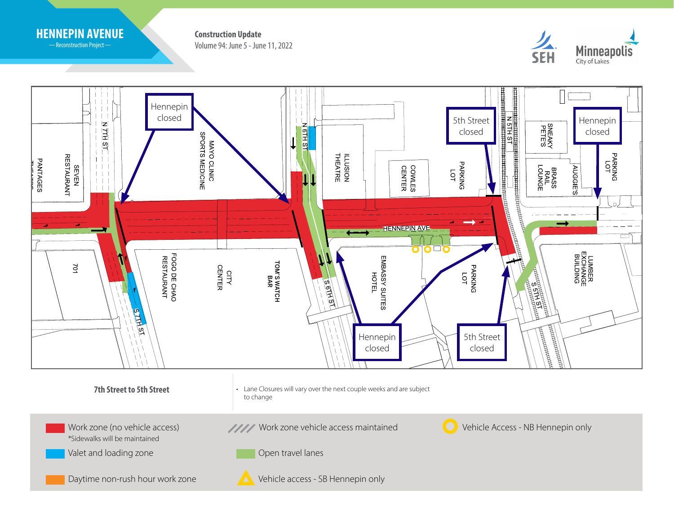

-Reconstruction Project-

Volume 94: June 5 - June 11, 2022